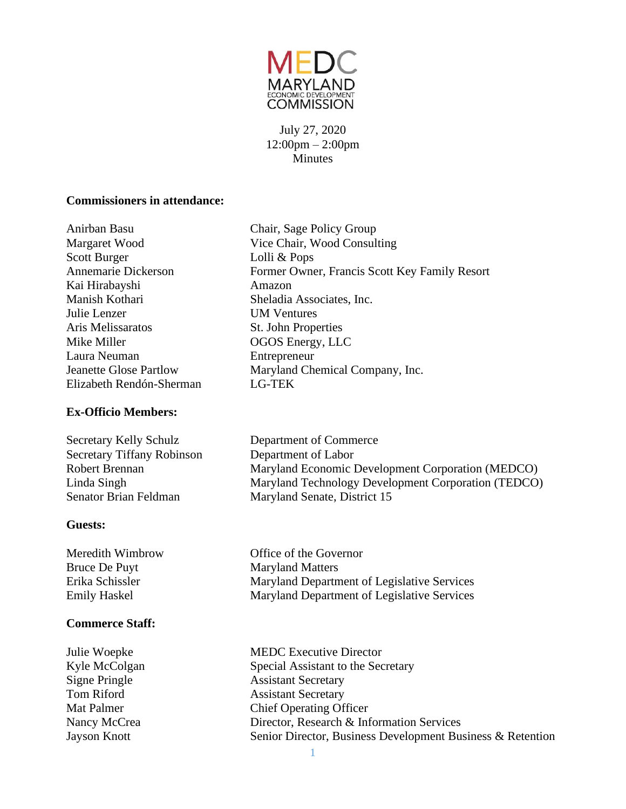

July 27, 2020 12:00pm – 2:00pm **Minutes** 

#### **Commissioners in attendance:**

Anirban Basu Chair, Sage Policy Group Margaret Wood Vice Chair, Wood Consulting Scott Burger Lolli & Pops Annemarie Dickerson Former Owner, Francis Scott Key Family Resort Kai Hirabayshi Amazon Manish Kothari Sheladia Associates, Inc. Julie Lenzer UM Ventures Aris Melissaratos St. John Properties Mike Miller **OGOS** Energy, LLC Laura Neuman Entrepreneur

#### **Ex-Officio Members:**

Jeanette Glose Partlow Maryland Chemical Company, Inc. Elizabeth Rendón-Sherman LG-TEK Secretary Kelly Schulz Department of Commerce Secretary Tiffany Robinson Department of Labor Robert Brennan Maryland Economic Development Corporation (MEDCO)

Linda Singh Maryland Technology Development Corporation (TEDCO)

Senator Brian Feldman Maryland Senate, District 15

#### **Guests:**

Bruce De Puyt Maryland Matters

## **Commerce Staff:**

Meredith Wimbrow Office of the Governor Erika Schissler Maryland Department of Legislative Services Emily Haskel Maryland Department of Legislative Services

Julie Woepke MEDC Executive Director Kyle McColgan Special Assistant to the Secretary Signe Pringle Assistant Secretary Tom Riford **Assistant Secretary** Mat Palmer Chief Operating Officer Nancy McCrea Director, Research & Information Services Jayson Knott Senior Director, Business Development Business & Retention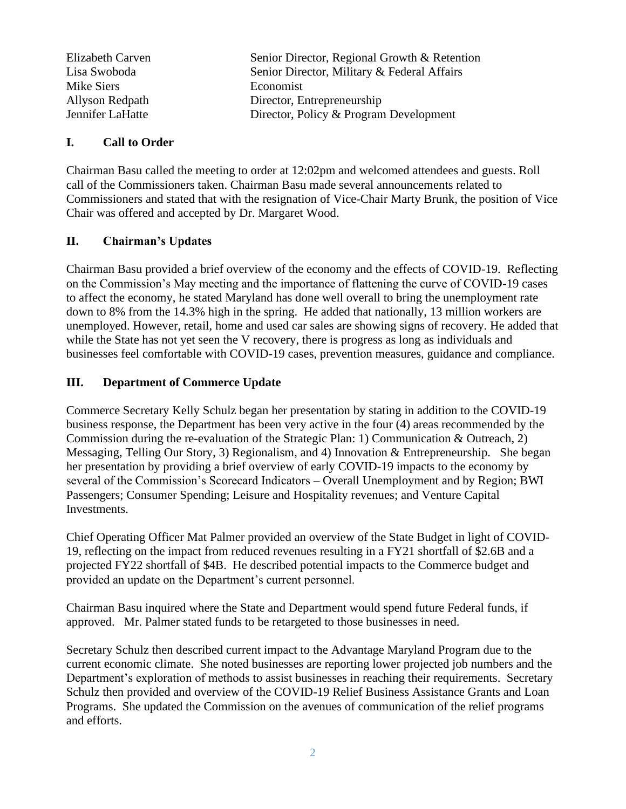| Elizabeth Carven | Senior Director, Regional Growth & Retention |
|------------------|----------------------------------------------|
| Lisa Swoboda     | Senior Director, Military & Federal Affairs  |
| Mike Siers       | Economist                                    |
| Allyson Redpath  | Director, Entrepreneurship                   |
| Jennifer LaHatte | Director, Policy & Program Development       |

#### **I. Call to Order**

Chairman Basu called the meeting to order at 12:02pm and welcomed attendees and guests. Roll call of the Commissioners taken. Chairman Basu made several announcements related to Commissioners and stated that with the resignation of Vice-Chair Marty Brunk, the position of Vice Chair was offered and accepted by Dr. Margaret Wood.

## **II. Chairman's Updates**

Chairman Basu provided a brief overview of the economy and the effects of COVID-19. Reflecting on the Commission's May meeting and the importance of flattening the curve of COVID-19 cases to affect the economy, he stated Maryland has done well overall to bring the unemployment rate down to 8% from the 14.3% high in the spring. He added that nationally, 13 million workers are unemployed. However, retail, home and used car sales are showing signs of recovery. He added that while the State has not yet seen the V recovery, there is progress as long as individuals and businesses feel comfortable with COVID-19 cases, prevention measures, guidance and compliance.

## **III. Department of Commerce Update**

Commerce Secretary Kelly Schulz began her presentation by stating in addition to the COVID-19 business response, the Department has been very active in the four (4) areas recommended by the Commission during the re-evaluation of the Strategic Plan: 1) Communication & Outreach, 2) Messaging, Telling Our Story, 3) Regionalism, and 4) Innovation & Entrepreneurship. She began her presentation by providing a brief overview of early COVID-19 impacts to the economy by several of the Commission's Scorecard Indicators – Overall Unemployment and by Region; BWI Passengers; Consumer Spending; Leisure and Hospitality revenues; and Venture Capital Investments.

Chief Operating Officer Mat Palmer provided an overview of the State Budget in light of COVID-19, reflecting on the impact from reduced revenues resulting in a FY21 shortfall of \$2.6B and a projected FY22 shortfall of \$4B. He described potential impacts to the Commerce budget and provided an update on the Department's current personnel.

Chairman Basu inquired where the State and Department would spend future Federal funds, if approved. Mr. Palmer stated funds to be retargeted to those businesses in need.

Secretary Schulz then described current impact to the Advantage Maryland Program due to the current economic climate. She noted businesses are reporting lower projected job numbers and the Department's exploration of methods to assist businesses in reaching their requirements. Secretary Schulz then provided and overview of the COVID-19 Relief Business Assistance Grants and Loan Programs. She updated the Commission on the avenues of communication of the relief programs and efforts.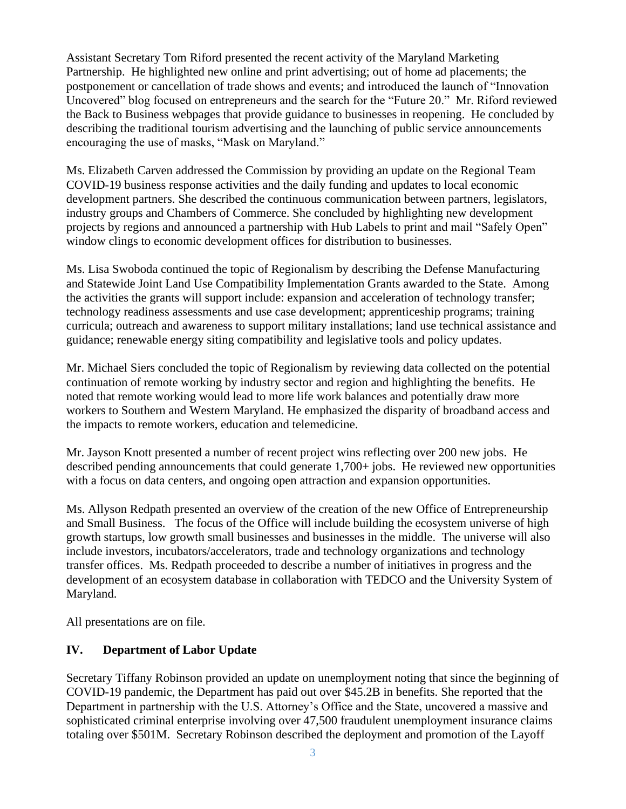Assistant Secretary Tom Riford presented the recent activity of the Maryland Marketing Partnership. He highlighted new online and print advertising; out of home ad placements; the postponement or cancellation of trade shows and events; and introduced the launch of "Innovation Uncovered" blog focused on entrepreneurs and the search for the "Future 20." Mr. Riford reviewed the Back to Business webpages that provide guidance to businesses in reopening. He concluded by describing the traditional tourism advertising and the launching of public service announcements encouraging the use of masks, "Mask on Maryland."

Ms. Elizabeth Carven addressed the Commission by providing an update on the Regional Team COVID-19 business response activities and the daily funding and updates to local economic development partners. She described the continuous communication between partners, legislators, industry groups and Chambers of Commerce. She concluded by highlighting new development projects by regions and announced a partnership with Hub Labels to print and mail "Safely Open" window clings to economic development offices for distribution to businesses.

Ms. Lisa Swoboda continued the topic of Regionalism by describing the Defense Manufacturing and Statewide Joint Land Use Compatibility Implementation Grants awarded to the State. Among the activities the grants will support include: expansion and acceleration of technology transfer; technology readiness assessments and use case development; apprenticeship programs; training curricula; outreach and awareness to support military installations; land use technical assistance and guidance; renewable energy siting compatibility and legislative tools and policy updates.

Mr. Michael Siers concluded the topic of Regionalism by reviewing data collected on the potential continuation of remote working by industry sector and region and highlighting the benefits. He noted that remote working would lead to more life work balances and potentially draw more workers to Southern and Western Maryland. He emphasized the disparity of broadband access and the impacts to remote workers, education and telemedicine.

Mr. Jayson Knott presented a number of recent project wins reflecting over 200 new jobs. He described pending announcements that could generate 1,700+ jobs. He reviewed new opportunities with a focus on data centers, and ongoing open attraction and expansion opportunities.

Ms. Allyson Redpath presented an overview of the creation of the new Office of Entrepreneurship and Small Business. The focus of the Office will include building the ecosystem universe of high growth startups, low growth small businesses and businesses in the middle. The universe will also include investors, incubators/accelerators, trade and technology organizations and technology transfer offices. Ms. Redpath proceeded to describe a number of initiatives in progress and the development of an ecosystem database in collaboration with TEDCO and the University System of Maryland.

All presentations are on file.

## **IV. Department of Labor Update**

Secretary Tiffany Robinson provided an update on unemployment noting that since the beginning of COVID-19 pandemic, the Department has paid out over \$45.2B in benefits. She reported that the Department in partnership with the U.S. Attorney's Office and the State, uncovered a massive and sophisticated criminal enterprise involving over 47,500 fraudulent unemployment insurance claims totaling over \$501M. Secretary Robinson described the deployment and promotion of the Layoff